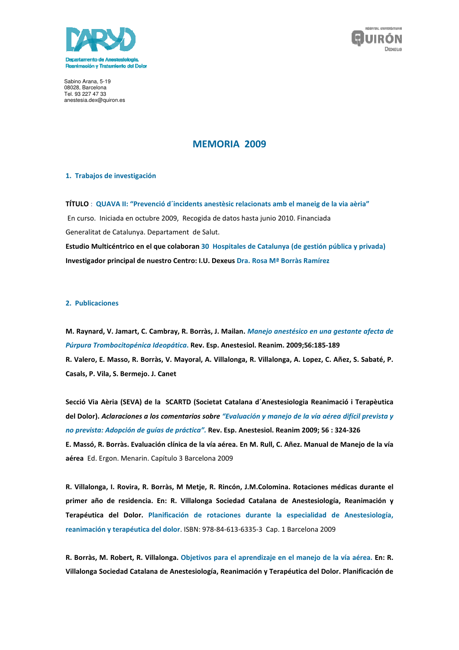



Sabino Arana, 5-19 08028, Barcelona Tel. 93 227 47 33 anestesia.dex@quiron.es

# **MEMORIA 2009**

### 1. Trabajos de investigación

TÍTULO : QUAVA II: "Prevenció d'incidents anestèsic relacionats amb el maneig de la via aèria" En curso. Iniciada en octubre 2009, Recogida de datos hasta junio 2010. Financiada Generalitat de Catalunya. Departament de Salut. Estudio Multicéntrico en el que colaboran 30 Hospitales de Catalunya (de gestión pública y privada) Investigador principal de nuestro Centro: I.U. Dexeus Dra. Rosa Mª Borràs Ramírez

#### 2. Publicaciones

M. Raynard, V. Jamart, C. Cambray, R. Borràs, J. Mailan. Manejo anestésico en una gestante afecta de Púrpura Trombocitopénica Ideopática. Rev. Esp. Anestesiol. Reanim. 2009;56:185-189 R. Valero, E. Masso, R. Borràs, V. Mayoral, A. Villalonga, R. Villalonga, A. Lopez, C. Añez, S. Sabaté, P. Casals, P. Vila, S. Bermejo. J. Canet

Secció Via Aèria (SEVA) de la SCARTD (Societat Catalana d'Anestesiologia Reanimació i Terapèutica del Dolor). Aclaraciones a los comentarios sobre "Evaluación y manejo de la vía aérea difícil prevista y no prevista: Adopción de guías de práctica". Rev. Esp. Anestesiol. Reanim 2009; 56 : 324-326 E. Massó, R. Borràs. Evaluación clínica de la vía aérea. En M. Rull, C. Añez. Manual de Manejo de la vía aérea Ed. Ergon. Menarin. Capítulo 3 Barcelona 2009

R. Villalonga, I. Rovira, R. Borràs, M Metje, R. Rincón, J.M.Colomina. Rotaciones médicas durante el primer año de residencia. En: R. Villalonga Sociedad Catalana de Anestesiología, Reanimación y Terapéutica del Dolor. Planificación de rotaciones durante la especialidad de Anestesiología, reanimación y terapéutica del dolor. ISBN: 978-84-613-6335-3 Cap. 1 Barcelona 2009

R. Borràs, M. Robert, R. Villalonga. Objetivos para el aprendizaje en el manejo de la vía aérea. En: R. Villalonga Sociedad Catalana de Anestesiología, Reanimación y Terapéutica del Dolor. Planificación de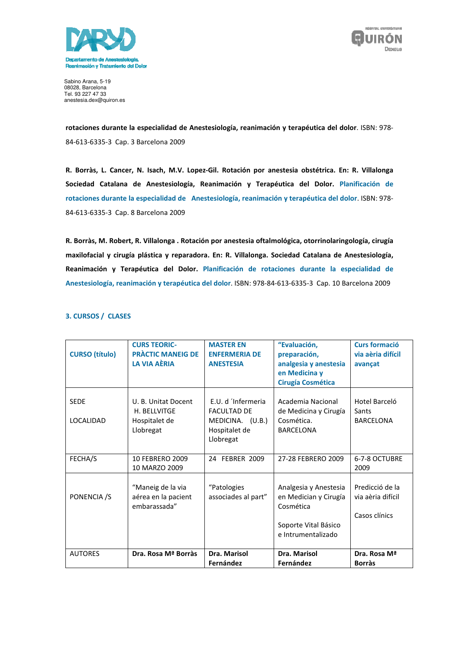



Sabino Arana, 5-19 08028, Barcelona<br>Tel. 93 227 47 33 anestesia.dex@quiron.es

rotaciones durante la especialidad de Anestesiología, reanimación y terapéutica del dolor. ISBN: 978-84-613-6335-3 Cap. 3 Barcelona 2009

R. Borràs, L. Cancer, N. Isach, M.V. Lopez-Gil. Rotación por anestesia obstétrica. En: R. Villalonga Sociedad Catalana de Anestesiología, Reanimación y Terapéutica del Dolor. Planificación de rotaciones durante la especialidad de Anestesiología, reanimación y terapéutica del dolor. ISBN: 978-84-613-6335-3 Cap. 8 Barcelona 2009

R. Borràs, M. Robert, R. Villalonga . Rotación por anestesia oftalmológica, otorrinolaringología, cirugía maxilofacial y cirugía plástica y reparadora. En: R. Villalonga. Sociedad Catalana de Anestesiología, Reanimación y Terapéutica del Dolor. Planificación de rotaciones durante la especialidad de Anestesiología, reanimación y terapéutica del dolor. ISBN: 978-84-613-6335-3 Cap. 10 Barcelona 2009

# 3. CURSOS / CLASES

| <b>PRÀCTIC MANEIG DE</b><br><b>CURSO</b> (título)<br><b>ENFERMERIA DE</b><br>preparación,<br>via aèria difícil<br>LA VIA AÈRIA<br>analgesia y anestesia<br><b>ANESTESIA</b><br>avançat<br>en Medicina y<br>Cirugía Cosmética<br>E.U. d 'Infermeria<br>Academia Nacional<br>Hotel Barceló<br><b>SEDE</b><br>U. B. Unitat Docent<br>H. BELLVITGE<br><b>FACULTAD DE</b><br>de Medicina y Cirugía<br>Sants<br><b>LOCALIDAD</b><br>MEDICINA. (U.B.)<br>Cosmética.<br><b>BARCELONA</b><br>Hospitalet de<br>Llobregat<br>Hospitalet de<br><b>BARCELONA</b><br>Llobregat |
|------------------------------------------------------------------------------------------------------------------------------------------------------------------------------------------------------------------------------------------------------------------------------------------------------------------------------------------------------------------------------------------------------------------------------------------------------------------------------------------------------------------------------------------------------------------|
|                                                                                                                                                                                                                                                                                                                                                                                                                                                                                                                                                                  |
|                                                                                                                                                                                                                                                                                                                                                                                                                                                                                                                                                                  |
|                                                                                                                                                                                                                                                                                                                                                                                                                                                                                                                                                                  |
|                                                                                                                                                                                                                                                                                                                                                                                                                                                                                                                                                                  |
|                                                                                                                                                                                                                                                                                                                                                                                                                                                                                                                                                                  |
|                                                                                                                                                                                                                                                                                                                                                                                                                                                                                                                                                                  |
|                                                                                                                                                                                                                                                                                                                                                                                                                                                                                                                                                                  |
|                                                                                                                                                                                                                                                                                                                                                                                                                                                                                                                                                                  |
|                                                                                                                                                                                                                                                                                                                                                                                                                                                                                                                                                                  |
|                                                                                                                                                                                                                                                                                                                                                                                                                                                                                                                                                                  |
|                                                                                                                                                                                                                                                                                                                                                                                                                                                                                                                                                                  |
| FECHA/S<br>10 FEBRERO 2009<br>24 FEBRER 2009<br>6-7-8 OCTUBRE<br>27-28 FEBRERO 2009                                                                                                                                                                                                                                                                                                                                                                                                                                                                              |
| 10 MARZO 2009<br>2009                                                                                                                                                                                                                                                                                                                                                                                                                                                                                                                                            |
|                                                                                                                                                                                                                                                                                                                                                                                                                                                                                                                                                                  |
| "Maneig de la via<br>Predicció de la<br>"Patologies<br>Analgesia y Anestesia                                                                                                                                                                                                                                                                                                                                                                                                                                                                                     |
| PONENCIA /S<br>aérea en la pacient<br>associades al part"<br>en Medician y Cirugía<br>via aèria difícil                                                                                                                                                                                                                                                                                                                                                                                                                                                          |
| embarassada"<br>Cosmética                                                                                                                                                                                                                                                                                                                                                                                                                                                                                                                                        |
| Casos clínics                                                                                                                                                                                                                                                                                                                                                                                                                                                                                                                                                    |
| Soporte Vital Básico                                                                                                                                                                                                                                                                                                                                                                                                                                                                                                                                             |
| e Intrumentalizado                                                                                                                                                                                                                                                                                                                                                                                                                                                                                                                                               |
| <b>AUTORES</b><br>Dra. Rosa Mª Borràs<br>Dra. Marisol<br>Dra. Marisol<br>Dra. Rosa Mª                                                                                                                                                                                                                                                                                                                                                                                                                                                                            |
| Fernández<br>Fernández<br><b>Borràs</b>                                                                                                                                                                                                                                                                                                                                                                                                                                                                                                                          |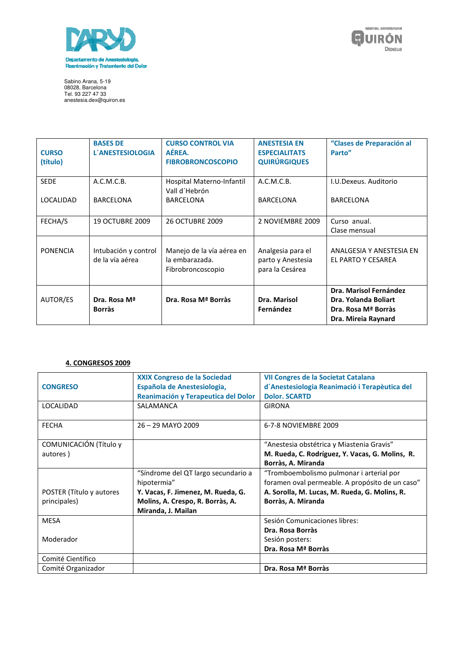



Sabino Arana, 5-19<br>08028, Barcelona<br>Tel. 93 227 47 33<br>anestesia.dex@quiron.es

| <b>CURSO</b><br>(título) | <b>BASES DE</b><br><b>L'ANESTESIOLOGIA</b> | <b>CURSO CONTROL VIA</b><br>AÉREA.<br><b>FIBROBRONCOSCOPIO</b>   | <b>ANESTESIA EN</b><br><b>ESPECIALITATS</b><br><b>QUIRÚRGIQUES</b> | "Clases de Preparación al<br>Parto"                                                          |
|--------------------------|--------------------------------------------|------------------------------------------------------------------|--------------------------------------------------------------------|----------------------------------------------------------------------------------------------|
| <b>SEDE</b>              | A.C.M.C.B.                                 | Hospital Materno-Infantil<br>Vall d'Hebrón                       | A.C.M.C.B.                                                         | I.U.Dexeus. Auditorio                                                                        |
| LOCALIDAD                | <b>BARCELONA</b>                           | <b>BARCELONA</b>                                                 | <b>BARCELONA</b>                                                   | <b>BARCELONA</b>                                                                             |
| FECHA/S                  | <b>19 OCTUBRE 2009</b>                     | <b>26 OCTUBRE 2009</b>                                           | 2 NOVIEMBRE 2009                                                   | Curso anual.<br>Clase mensual                                                                |
| PONENCIA                 | Intubación y control<br>de la vía aérea    | Manejo de la vía aérea en<br>la embarazada.<br>Fibrobroncoscopio | Analgesia para el<br>parto y Anestesia<br>para la Cesárea          | ANALGESIA Y ANESTESIA EN<br>EL PARTO Y CESAREA                                               |
| AUTOR/ES                 | Dra. Rosa Mª<br><b>Borràs</b>              | Dra. Rosa Mª Borràs                                              | Dra. Marisol<br>Fernández                                          | Dra. Marisol Fernández<br>Dra. Yolanda Boliart<br>Dra. Rosa Mª Borràs<br>Dra. Mireia Raynard |

# **4. CONGRESOS 2009**

|                          | <b>XXIX Congreso de la Sociedad</b> | VII Congres de la Societat Catalana             |  |
|--------------------------|-------------------------------------|-------------------------------------------------|--|
| <b>CONGRESO</b>          | Española de Anestesiologia,         | d'Anestesiologia Reanimació i Terapèutica del   |  |
|                          | Reanimación y Terapeutica del Dolor | <b>Dolor. SCARTD</b>                            |  |
| LOCALIDAD                | SALAMANCA                           | <b>GIRONA</b>                                   |  |
|                          |                                     |                                                 |  |
| <b>FECHA</b>             | $26 - 29$ MAYO 2009                 | 6-7-8 NOVIEMBRE 2009                            |  |
|                          |                                     |                                                 |  |
| COMUNICACIÓN (Título y   |                                     | "Anestesia obstétrica y Miastenia Gravis"       |  |
| autores)                 |                                     | M. Rueda, C. Rodríguez, Y. Vacas, G. Molins, R. |  |
|                          |                                     | Borràs, A. Miranda                              |  |
|                          | "Síndrome del QT largo secundario a | "Tromboembolismo pulmonar i arterial por        |  |
|                          | hipotermia"                         | foramen oval permeable. A propósito de un caso" |  |
| POSTER (Título y autores | Y. Vacas, F. Jimenez, M. Rueda, G.  | A. Sorolla, M. Lucas, M. Rueda, G. Molins, R.   |  |
| principales)             | Molins, A. Crespo, R. Borràs, A.    | Borràs, A. Miranda                              |  |
|                          | Miranda, J. Mailan                  |                                                 |  |
| <b>MESA</b>              |                                     | Sesión Comunicaciones libres:                   |  |
|                          |                                     | Dra. Rosa Borràs                                |  |
| Moderador                |                                     | Sesión posters:                                 |  |
|                          |                                     | Dra. Rosa Mª Borràs                             |  |
| Comité Científico        |                                     |                                                 |  |
| Comité Organizador       |                                     | Dra. Rosa Mª Borràs                             |  |